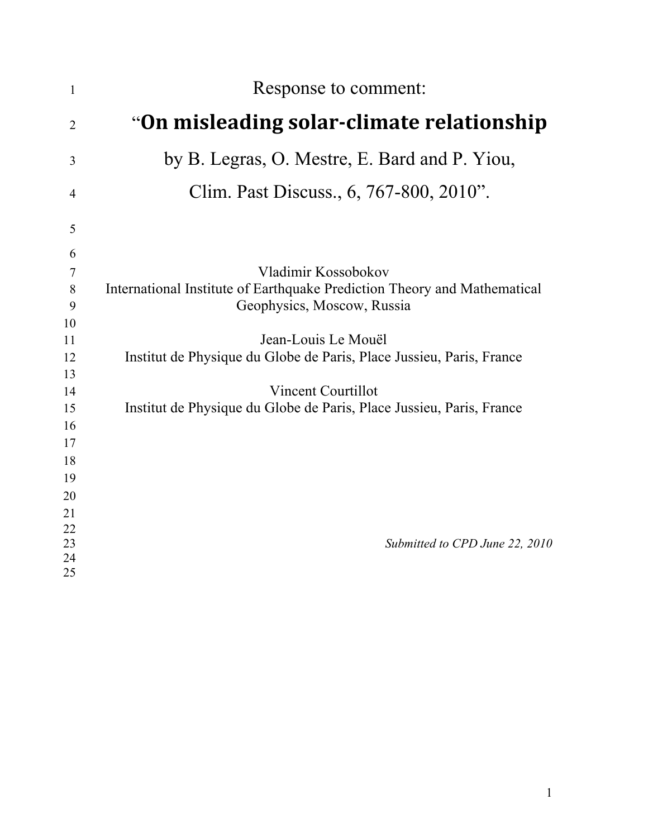| $\mathbf{1}$   | Response to comment:                                                     |
|----------------|--------------------------------------------------------------------------|
| $\overline{2}$ | "On misleading solar-climate relationship                                |
| 3              | by B. Legras, O. Mestre, E. Bard and P. Yiou,                            |
| 4              | Clim. Past Discuss., 6, 767-800, 2010".                                  |
| 5              |                                                                          |
| 6              |                                                                          |
| 7              | Vladimir Kossobokov                                                      |
| 8              | International Institute of Earthquake Prediction Theory and Mathematical |
| 9              | Geophysics, Moscow, Russia                                               |
| 10             |                                                                          |
| 11             | Jean-Louis Le Mouël                                                      |
| 12             | Institut de Physique du Globe de Paris, Place Jussieu, Paris, France     |
| 13             |                                                                          |
| 14             | <b>Vincent Courtillot</b>                                                |
| 15             | Institut de Physique du Globe de Paris, Place Jussieu, Paris, France     |
| 16             |                                                                          |
| 17             |                                                                          |
| 18             |                                                                          |
| 19             |                                                                          |
| 20             |                                                                          |
| 21             |                                                                          |
| 22<br>23       | Submitted to CPD June 22, 2010                                           |
| 24             |                                                                          |
| 25             |                                                                          |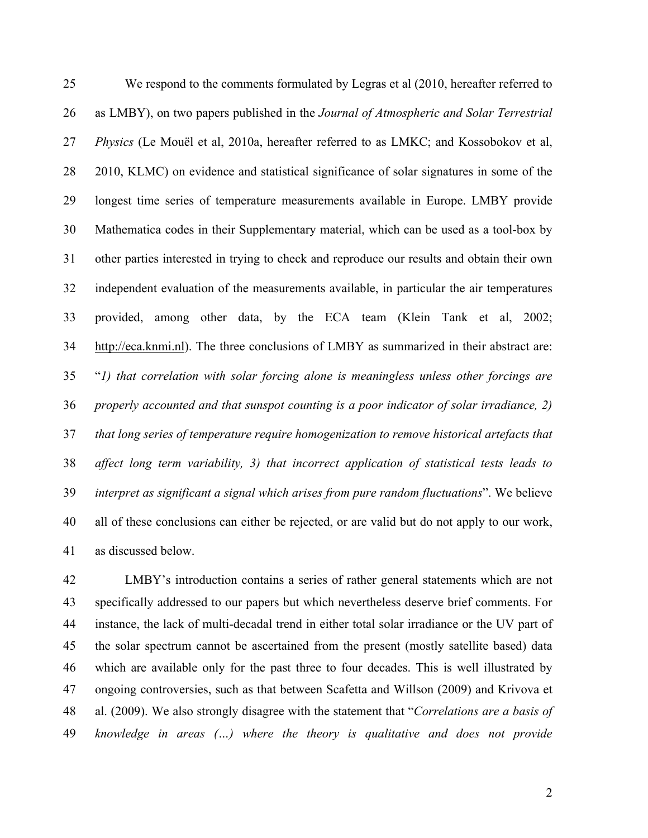We respond to the comments formulated by Legras et al (2010, hereafter referred to as LMBY), on two papers published in the *Journal of Atmospheric and Solar Terrestrial Physics* (Le Mouël et al, 2010a, hereafter referred to as LMKC; and Kossobokov et al, 2010, KLMC) on evidence and statistical significance of solar signatures in some of the longest time series of temperature measurements available in Europe. LMBY provide Mathematica codes in their Supplementary material, which can be used as a tool-box by other parties interested in trying to check and reproduce our results and obtain their own independent evaluation of the measurements available, in particular the air temperatures provided, among other data, by the ECA team (Klein Tank et al, 2002; 34 http://eca.knmi.nl). The three conclusions of LMBY as summarized in their abstract are: "*1) that correlation with solar forcing alone is meaningless unless other forcings are properly accounted and that sunspot counting is a poor indicator of solar irradiance, 2) that long series of temperature require homogenization to remove historical artefacts that affect long term variability, 3) that incorrect application of statistical tests leads to interpret as significant a signal which arises from pure random fluctuations*". We believe all of these conclusions can either be rejected, or are valid but do not apply to our work, as discussed below.

 LMBY's introduction contains a series of rather general statements which are not specifically addressed to our papers but which nevertheless deserve brief comments. For instance, the lack of multi-decadal trend in either total solar irradiance or the UV part of the solar spectrum cannot be ascertained from the present (mostly satellite based) data which are available only for the past three to four decades. This is well illustrated by ongoing controversies, such as that between Scafetta and Willson (2009) and Krivova et al. (2009). We also strongly disagree with the statement that "*Correlations are a basis of knowledge in areas (…) where the theory is qualitative and does not provide*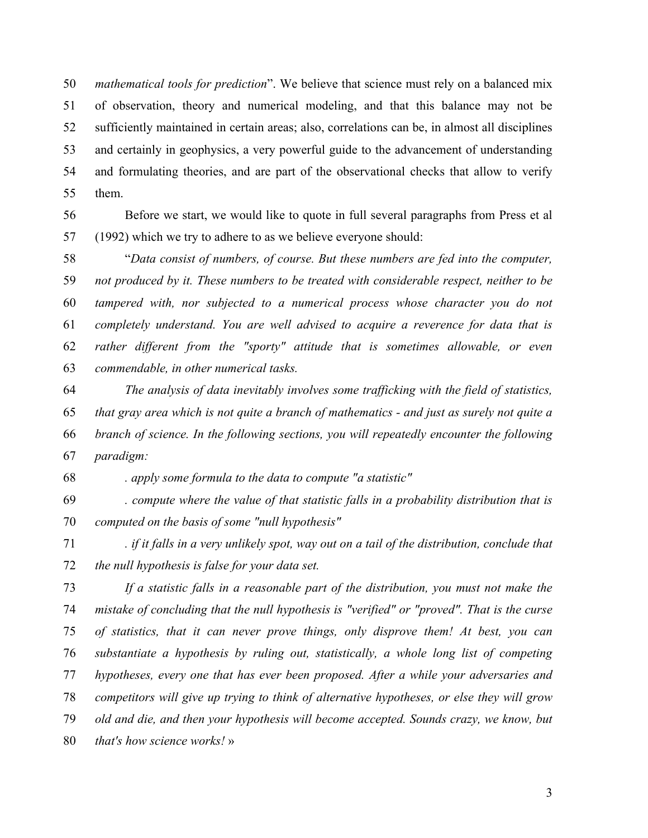*mathematical tools for prediction*". We believe that science must rely on a balanced mix of observation, theory and numerical modeling, and that this balance may not be sufficiently maintained in certain areas; also, correlations can be, in almost all disciplines and certainly in geophysics, a very powerful guide to the advancement of understanding and formulating theories, and are part of the observational checks that allow to verify them.

 Before we start, we would like to quote in full several paragraphs from Press et al (1992) which we try to adhere to as we believe everyone should:

 "*Data consist of numbers, of course. But these numbers are fed into the computer, not produced by it. These numbers to be treated with considerable respect, neither to be tampered with, nor subjected to a numerical process whose character you do not completely understand. You are well advised to acquire a reverence for data that is rather different from the "sporty" attitude that is sometimes allowable, or even commendable, in other numerical tasks.*

 *The analysis of data inevitably involves some trafficking with the field of statistics, that gray area which is not quite a branch of mathematics - and just as surely not quite a branch of science. In the following sections, you will repeatedly encounter the following paradigm:*

*. apply some formula to the data to compute "a statistic"*

 *. compute where the value of that statistic falls in a probability distribution that is computed on the basis of some "null hypothesis"*

 *. if it falls in a very unlikely spot, way out on a tail of the distribution, conclude that the null hypothesis is false for your data set.*

 *If a statistic falls in a reasonable part of the distribution, you must not make the mistake of concluding that the null hypothesis is "verified" or "proved". That is the curse of statistics, that it can never prove things, only disprove them! At best, you can substantiate a hypothesis by ruling out, statistically, a whole long list of competing hypotheses, every one that has ever been proposed. After a while your adversaries and competitors will give up trying to think of alternative hypotheses, or else they will grow old and die, and then your hypothesis will become accepted. Sounds crazy, we know, but that's how science works!* »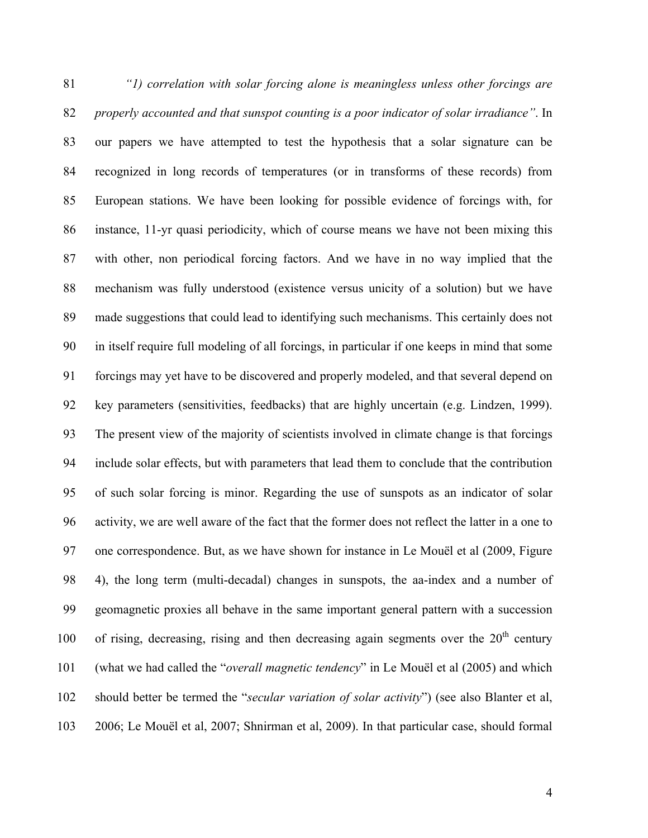*"1) correlation with solar forcing alone is meaningless unless other forcings are properly accounted and that sunspot counting is a poor indicator of solar irradiance"*. In our papers we have attempted to test the hypothesis that a solar signature can be recognized in long records of temperatures (or in transforms of these records) from European stations. We have been looking for possible evidence of forcings with, for instance, 11-yr quasi periodicity, which of course means we have not been mixing this with other, non periodical forcing factors. And we have in no way implied that the mechanism was fully understood (existence versus unicity of a solution) but we have made suggestions that could lead to identifying such mechanisms. This certainly does not in itself require full modeling of all forcings, in particular if one keeps in mind that some forcings may yet have to be discovered and properly modeled, and that several depend on key parameters (sensitivities, feedbacks) that are highly uncertain (e.g. Lindzen, 1999). The present view of the majority of scientists involved in climate change is that forcings include solar effects, but with parameters that lead them to conclude that the contribution of such solar forcing is minor. Regarding the use of sunspots as an indicator of solar activity, we are well aware of the fact that the former does not reflect the latter in a one to one correspondence. But, as we have shown for instance in Le Mouël et al (2009, Figure 4), the long term (multi-decadal) changes in sunspots, the aa-index and a number of geomagnetic proxies all behave in the same important general pattern with a succession 100 of rising, decreasing, rising and then decreasing again segments over the  $20<sup>th</sup>$  century (what we had called the "*overall magnetic tendency*" in Le Mouël et al (2005) and which should better be termed the "*secular variation of solar activity*") (see also Blanter et al, 2006; Le Mouël et al, 2007; Shnirman et al, 2009). In that particular case, should formal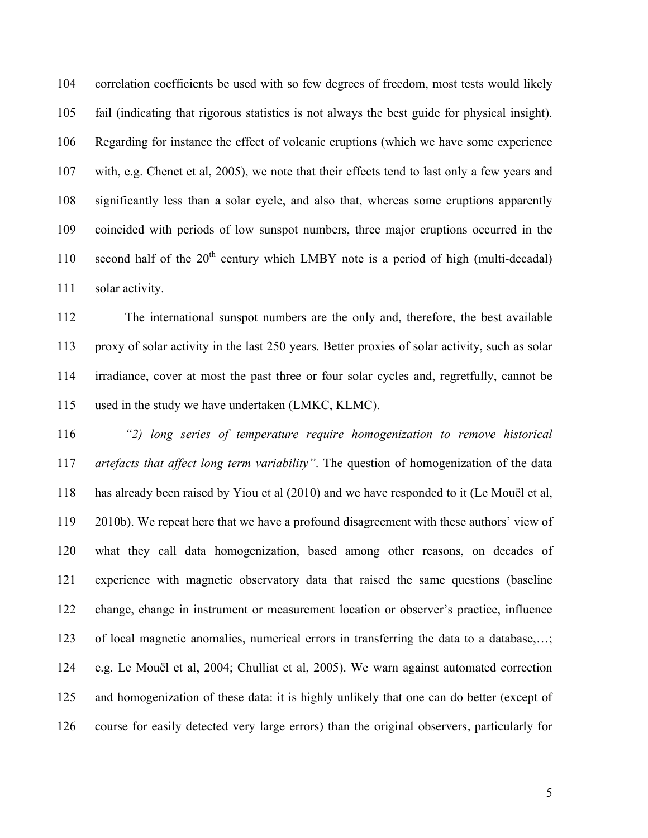correlation coefficients be used with so few degrees of freedom, most tests would likely fail (indicating that rigorous statistics is not always the best guide for physical insight). Regarding for instance the effect of volcanic eruptions (which we have some experience with, e.g. Chenet et al, 2005), we note that their effects tend to last only a few years and significantly less than a solar cycle, and also that, whereas some eruptions apparently coincided with periods of low sunspot numbers, three major eruptions occurred in the 110 second half of the  $20<sup>th</sup>$  century which LMBY note is a period of high (multi-decadal) 111 solar activity.

 The international sunspot numbers are the only and, therefore, the best available proxy of solar activity in the last 250 years. Better proxies of solar activity, such as solar irradiance, cover at most the past three or four solar cycles and, regretfully, cannot be used in the study we have undertaken (LMKC, KLMC).

 *"2) long series of temperature require homogenization to remove historical artefacts that affect long term variability"*. The question of homogenization of the data has already been raised by Yiou et al (2010) and we have responded to it (Le Mouël et al, 2010b). We repeat here that we have a profound disagreement with these authors' view of what they call data homogenization, based among other reasons, on decades of experience with magnetic observatory data that raised the same questions (baseline change, change in instrument or measurement location or observer's practice, influence of local magnetic anomalies, numerical errors in transferring the data to a database,…; e.g. Le Mouël et al, 2004; Chulliat et al, 2005). We warn against automated correction and homogenization of these data: it is highly unlikely that one can do better (except of course for easily detected very large errors) than the original observers, particularly for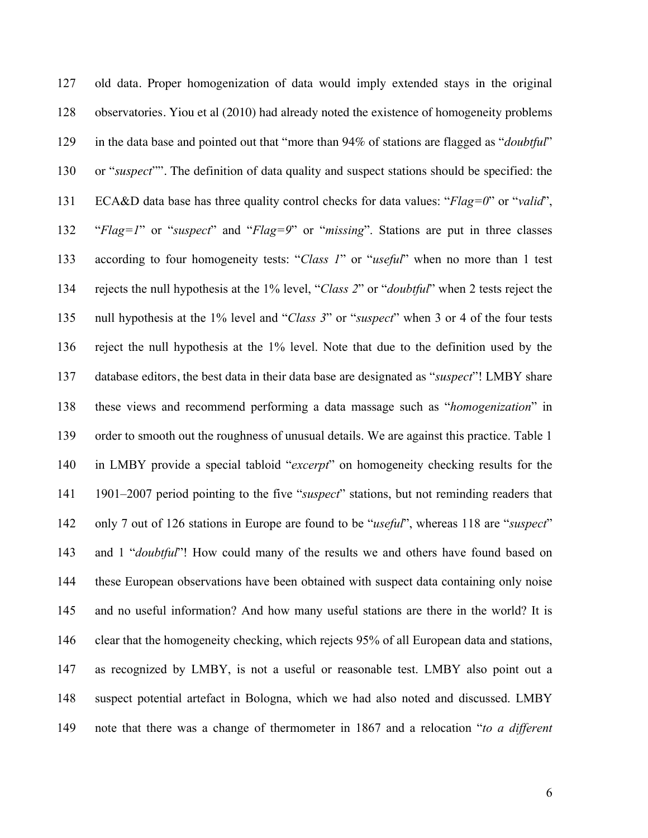old data. Proper homogenization of data would imply extended stays in the original observatories. Yiou et al (2010) had already noted the existence of homogeneity problems in the data base and pointed out that "more than 94% of stations are flagged as "*doubtful*" or "*suspect*"". The definition of data quality and suspect stations should be specified: the ECA&D data base has three quality control checks for data values: "*Flag=0*" or "*valid*", "*Flag=1*" or "*suspect*" and "*Flag=9*" or "*missing*". Stations are put in three classes according to four homogeneity tests: "*Class 1*" or "*useful*" when no more than 1 test rejects the null hypothesis at the 1% level, "*Class 2*" or "*doubtful*" when 2 tests reject the null hypothesis at the 1% level and "*Class 3*" or "*suspect*" when 3 or 4 of the four tests reject the null hypothesis at the 1% level. Note that due to the definition used by the database editors, the best data in their data base are designated as "*suspect*"! LMBY share these views and recommend performing a data massage such as "*homogenization*" in order to smooth out the roughness of unusual details. We are against this practice. Table 1 in LMBY provide a special tabloid "*excerpt*" on homogeneity checking results for the 1901–2007 period pointing to the five "*suspect*" stations, but not reminding readers that only 7 out of 126 stations in Europe are found to be "*useful*", whereas 118 are "*suspect*" and 1 "*doubtful*"! How could many of the results we and others have found based on these European observations have been obtained with suspect data containing only noise and no useful information? And how many useful stations are there in the world? It is clear that the homogeneity checking, which rejects 95% of all European data and stations, as recognized by LMBY, is not a useful or reasonable test. LMBY also point out a suspect potential artefact in Bologna, which we had also noted and discussed. LMBY note that there was a change of thermometer in 1867 and a relocation "*to a different*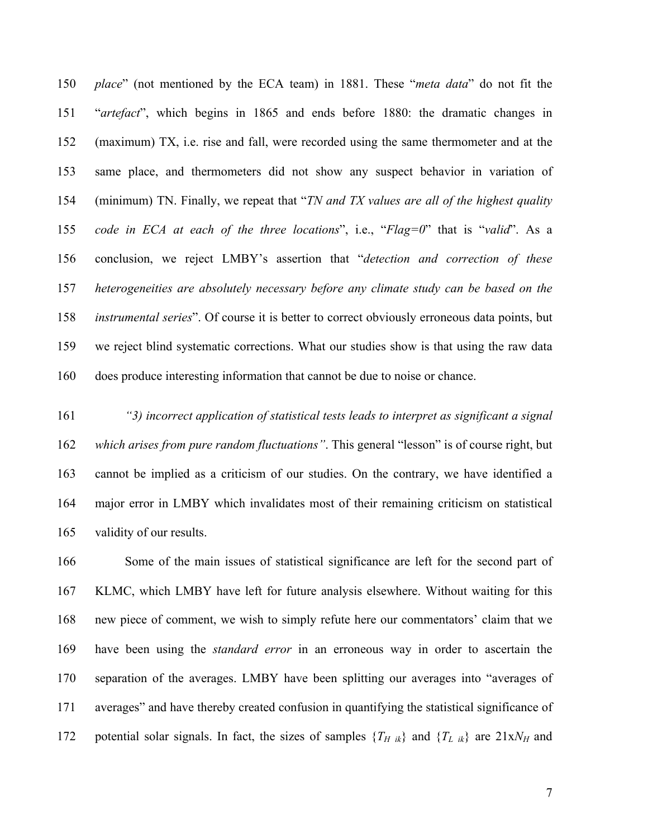*place*" (not mentioned by the ECA team) in 1881. These "*meta data*" do not fit the "*artefact*", which begins in 1865 and ends before 1880: the dramatic changes in (maximum) TX, i.e. rise and fall, were recorded using the same thermometer and at the same place, and thermometers did not show any suspect behavior in variation of (minimum) TN. Finally, we repeat that "*TN and TX values are all of the highest quality code in ECA at each of the three locations*", i.e., "*Flag=0*" that is "*valid*". As a conclusion, we reject LMBY's assertion that "*detection and correction of these heterogeneities are absolutely necessary before any climate study can be based on the instrumental series*". Of course it is better to correct obviously erroneous data points, but we reject blind systematic corrections. What our studies show is that using the raw data does produce interesting information that cannot be due to noise or chance.

 *"3) incorrect application of statistical tests leads to interpret as significant a signal which arises from pure random fluctuations"*. This general "lesson" is of course right, but cannot be implied as a criticism of our studies. On the contrary, we have identified a major error in LMBY which invalidates most of their remaining criticism on statistical validity of our results.

 Some of the main issues of statistical significance are left for the second part of KLMC, which LMBY have left for future analysis elsewhere. Without waiting for this new piece of comment, we wish to simply refute here our commentators' claim that we have been using the *standard error* in an erroneous way in order to ascertain the separation of the averages. LMBY have been splitting our averages into "averages of averages" and have thereby created confusion in quantifying the statistical significance of 172 potential solar signals. In fact, the sizes of samples  $\{T_H\}_{ik}$  and  $\{T_L\}_{ik}$  are  $21xN_H$  and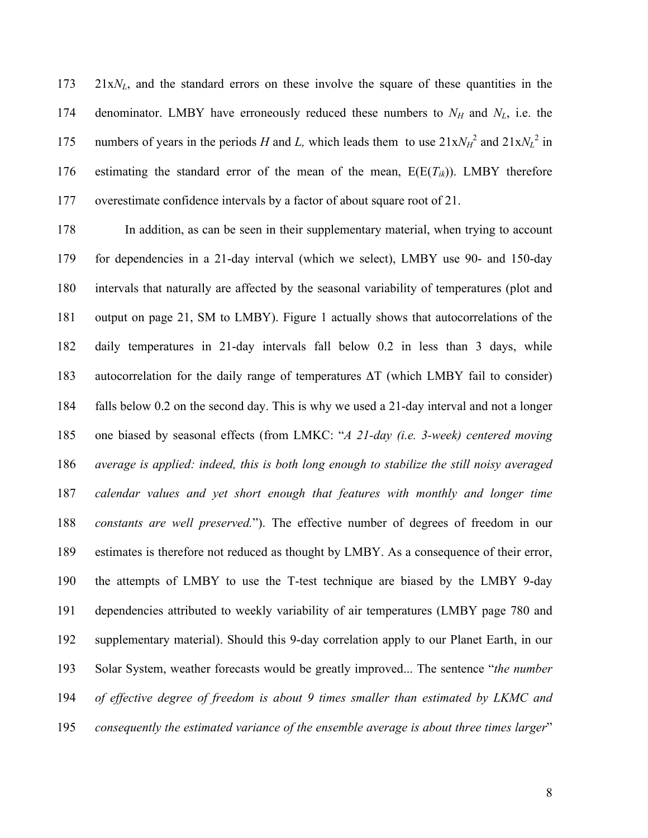21x*NL*, and the standard errors on these involve the square of these quantities in the 174 denominator. LMBY have erroneously reduced these numbers to  $N_H$  and  $N_L$ , i.e. the 175 numbers of years in the periods *H* and *L*, which leads them to use  $21xN<sub>H</sub><sup>2</sup>$  and  $21xN<sub>L</sub><sup>2</sup>$  in 176 estimating the standard error of the mean of the mean,  $E(E(T_{ik}))$ . LMBY therefore overestimate confidence intervals by a factor of about square root of 21.

 In addition, as can be seen in their supplementary material, when trying to account for dependencies in a 21-day interval (which we select), LMBY use 90- and 150-day intervals that naturally are affected by the seasonal variability of temperatures (plot and output on page 21, SM to LMBY). Figure 1 actually shows that autocorrelations of the daily temperatures in 21-day intervals fall below 0.2 in less than 3 days, while autocorrelation for the daily range of temperatures ΔT (which LMBY fail to consider) falls below 0.2 on the second day. This is why we used a 21-day interval and not a longer one biased by seasonal effects (from LMKC: "*A 21-day (i.e. 3-week) centered moving average is applied: indeed, this is both long enough to stabilize the still noisy averaged calendar values and yet short enough that features with monthly and longer time constants are well preserved.*"). The effective number of degrees of freedom in our estimates is therefore not reduced as thought by LMBY. As a consequence of their error, the attempts of LMBY to use the T-test technique are biased by the LMBY 9-day dependencies attributed to weekly variability of air temperatures (LMBY page 780 and supplementary material). Should this 9-day correlation apply to our Planet Earth, in our Solar System, weather forecasts would be greatly improved... The sentence "*the number of effective degree of freedom is about 9 times smaller than estimated by LKMC and consequently the estimated variance of the ensemble average is about three times larger*"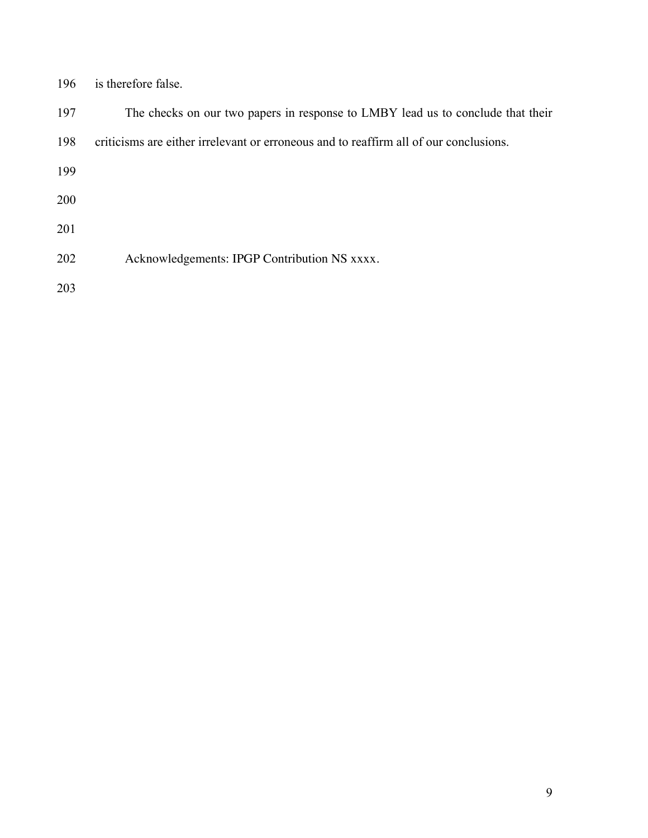| 196 | is therefore false. |  |
|-----|---------------------|--|
|     |                     |  |

| 197        | The checks on our two papers in response to LMBY lead us to conclude that their       |
|------------|---------------------------------------------------------------------------------------|
| 198        | criticisms are either irrelevant or erroneous and to reaffirm all of our conclusions. |
| 199        |                                                                                       |
| <b>200</b> |                                                                                       |
| 201        |                                                                                       |
| 202        | Acknowledgements: IPGP Contribution NS xxxx.                                          |
| 203        |                                                                                       |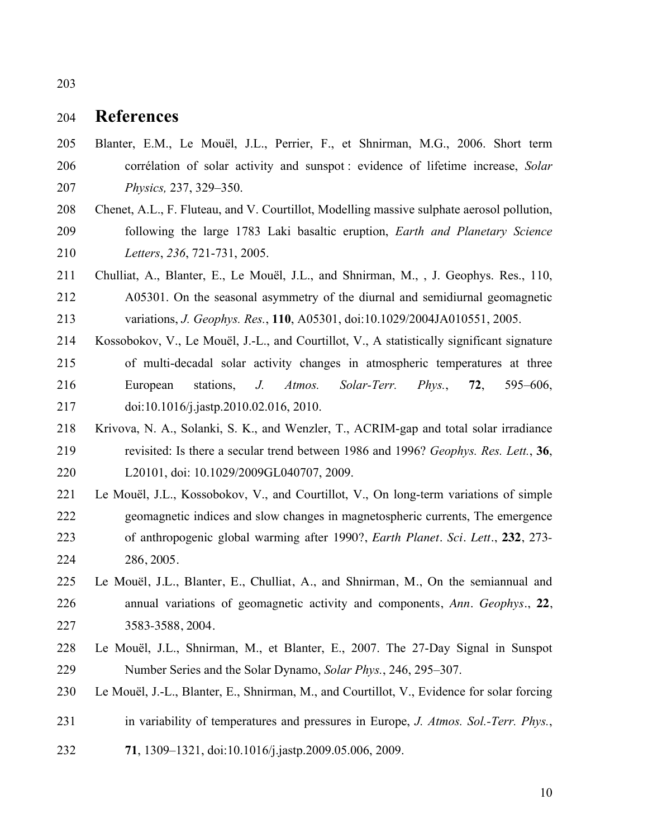## **References**

- Blanter, E.M., Le Mouël, J.L., Perrier, F., et Shnirman, M.G., 2006. Short term corrélation of solar activity and sunspot : evidence of lifetime increase, *Solar Physics,* 237, 329–350.
- Chenet, A.L., F. Fluteau, and V. Courtillot, Modelling massive sulphate aerosol pollution, following the large 1783 Laki basaltic eruption, *Earth and Planetary Science Letters*, *236*, 721-731, 2005.
- Chulliat, A., Blanter, E., Le Mouël, J.L., and Shnirman, M., , J. Geophys. Res., 110, A05301. On the seasonal asymmetry of the diurnal and semidiurnal geomagnetic variations, *J. Geophys. Res.*, **110**, A05301, doi:10.1029/2004JA010551, 2005.
- Kossobokov, V., Le Mouël, J.-L., and Courtillot, V., A statistically significant signature of multi-decadal solar activity changes in atmospheric temperatures at three European stations, *J. Atmos. Solar-Terr. Phys.*, **72**, 595–606, doi:10.1016/j.jastp.2010.02.016, 2010.
- Krivova, N. A., Solanki, S. K., and Wenzler, T., ACRIM-gap and total solar irradiance revisited: Is there a secular trend between 1986 and 1996? *Geophys. Res. Lett.*, **36**, L20101, doi: 10.1029/2009GL040707, 2009.
- Le Mouël, J.L., Kossobokov, V., and Courtillot, V., On long-term variations of simple geomagnetic indices and slow changes in magnetospheric currents, The emergence of anthropogenic global warming after 1990?, *Earth Planet. Sci. Lett*., **232**, 273- 286, 2005.
- Le Mouël, J.L., Blanter, E., Chulliat, A., and Shnirman, M., On the semiannual and annual variations of geomagnetic activity and components, *Ann. Geophys.*, **22**, 3583-3588, 2004.
- Le Mouël, J.L., Shnirman, M., et Blanter, E., 2007. The 27-Day Signal in Sunspot Number Series and the Solar Dynamo, *Solar Phys.*, 246, 295–307.
- Le Mouël, J.-L., Blanter, E., Shnirman, M., and Courtillot, V., Evidence for solar forcing
- in variability of temperatures and pressures in Europe, *J. Atmos. Sol.-Terr. Phys.*,
- **71**, 1309–1321, doi:10.1016/j.jastp.2009.05.006, 2009.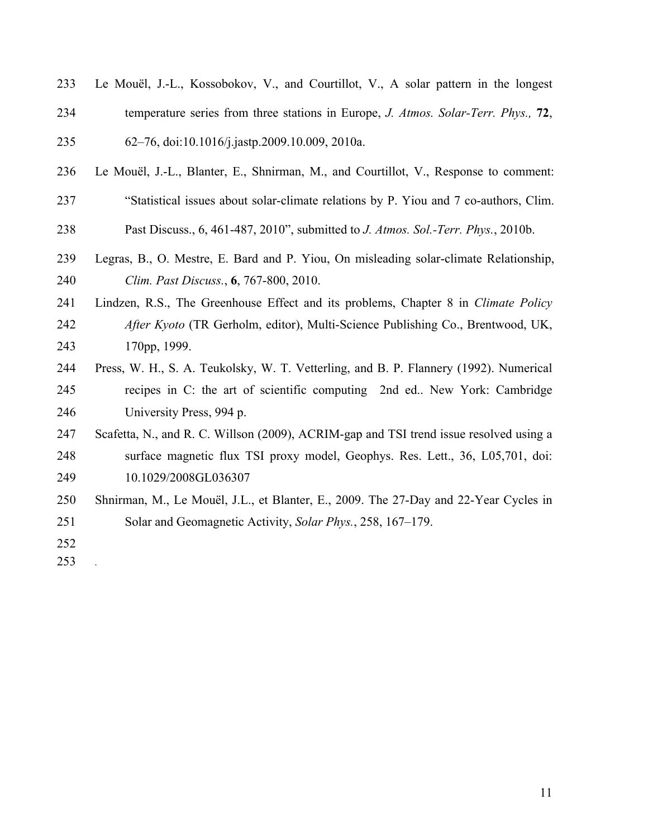| 233 | Le Mouël, J.-L., Kossobokov, V., and Courtillot, V., A solar pattern in the longest    |
|-----|----------------------------------------------------------------------------------------|
| 234 | temperature series from three stations in Europe, J. Atmos. Solar-Terr. Phys., 72,     |
| 235 | 62-76, doi:10.1016/j.jastp.2009.10.009, 2010a.                                         |
| 236 | Le Mouël, J.-L., Blanter, E., Shnirman, M., and Courtillot, V., Response to comment:   |
| 237 | "Statistical issues about solar-climate relations by P. Yiou and 7 co-authors, Clim.   |
| 238 | Past Discuss., 6, 461-487, 2010", submitted to J. Atmos. Sol.-Terr. Phys., 2010b.      |
| 239 | Legras, B., O. Mestre, E. Bard and P. Yiou, On misleading solar-climate Relationship,  |
| 240 | Clim. Past Discuss., 6, 767-800, 2010.                                                 |
| 241 | Lindzen, R.S., The Greenhouse Effect and its problems, Chapter 8 in Climate Policy     |
| 242 | After Kyoto (TR Gerholm, editor), Multi-Science Publishing Co., Brentwood, UK,         |
| 243 | 170pp, 1999.                                                                           |
| 244 | Press, W. H., S. A. Teukolsky, W. T. Vetterling, and B. P. Flannery (1992). Numerical  |
| 245 | recipes in C: the art of scientific computing 2nd ed. New York: Cambridge              |
| 246 | University Press, 994 p.                                                               |
| 247 | Scafetta, N., and R. C. Willson (2009), ACRIM-gap and TSI trend issue resolved using a |
| 248 | surface magnetic flux TSI proxy model, Geophys. Res. Lett., 36, L05,701, doi:          |
| 249 | 10.1029/2008GL036307                                                                   |
| 250 | Shnirman, M., Le Mouël, J.L., et Blanter, E., 2009. The 27-Day and 22-Year Cycles in   |
| 251 | Solar and Geomagnetic Activity, Solar Phys., 258, 167–179.                             |
| 252 |                                                                                        |
| 253 |                                                                                        |